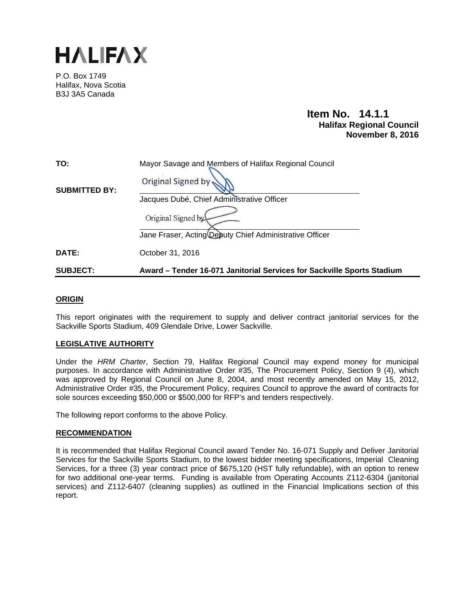

P.O. Box 1749 Halifax, Nova Scotia B3J 3A5 Canada

# **Item No. 14.1.1 Halifax Regional Council November 8, 2016**

| <b>SUBJECT:</b>      | Award – Tender 16-071 Janitorial Services for Sackville Sports Stadium                                                      |  |  |
|----------------------|-----------------------------------------------------------------------------------------------------------------------------|--|--|
| DATE:                | October 31, 2016                                                                                                            |  |  |
|                      | Jacques Dubé, Chief Administrative Officer<br>Original Signed by<br>Jane Fraser, Acting Deputy Chief Administrative Officer |  |  |
| <b>SUBMITTED BY:</b> | Original Signed by                                                                                                          |  |  |
| TO:                  | Mayor Savage and Members of Halifax Regional Council                                                                        |  |  |

## **ORIGIN**

This report originates with the requirement to supply and deliver contract janitorial services for the Sackville Sports Stadium, 409 Glendale Drive, Lower Sackville.

## **LEGISLATIVE AUTHORITY**

Under the *HRM Charter*, Section 79, Halifax Regional Council may expend money for municipal purposes. In accordance with Administrative Order #35, The Procurement Policy, Section 9 (4), which was approved by Regional Council on June 8, 2004, and most recently amended on May 15, 2012, Administrative Order #35, the Procurement Policy, requires Council to approve the award of contracts for sole sources exceeding \$50,000 or \$500,000 for RFP's and tenders respectively.

The following report conforms to the above Policy.

## **RECOMMENDATION**

It is recommended that Halifax Regional Council award Tender No. 16-071 Supply and Deliver Janitorial Services for the Sackville Sports Stadium, to the lowest bidder meeting specifications, Imperial Cleaning Services, for a three (3) year contract price of \$675,120 (HST fully refundable), with an option to renew for two additional one-year terms. Funding is available from Operating Accounts Z112-6304 (janitorial services) and Z112-6407 (cleaning supplies) as outlined in the Financial Implications section of this report.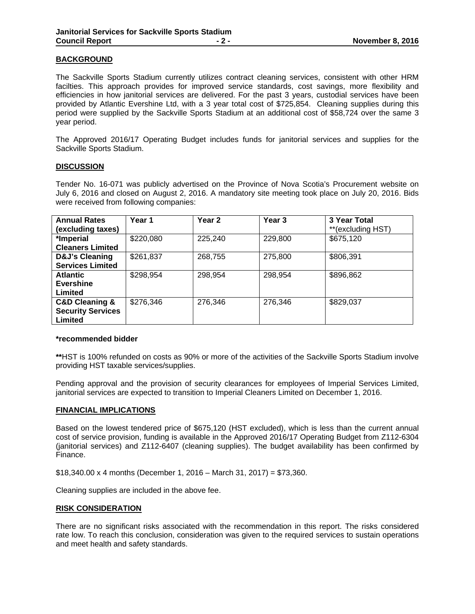## **BACKGROUND**

The Sackville Sports Stadium currently utilizes contract cleaning services, consistent with other HRM facilties. This approach provides for improved service standards, cost savings, more flexibility and efficiencies in how janitorial services are delivered. For the past 3 years, custodial services have been provided by Atlantic Evershine Ltd, with a 3 year total cost of \$725,854. Cleaning supplies during this period were supplied by the Sackville Sports Stadium at an additional cost of \$58,724 over the same 3 year period.

The Approved 2016/17 Operating Budget includes funds for janitorial services and supplies for the Sackville Sports Stadium.

## **DISCUSSION**

Tender No. 16-071 was publicly advertised on the Province of Nova Scotia's Procurement website on July 6, 2016 and closed on August 2, 2016. A mandatory site meeting took place on July 20, 2016. Bids were received from following companies:

| <b>Annual Rates</b><br>(excluding taxes) | Year 1    | Year 2  | Year <sub>3</sub> | 3 Year Total<br>**(excluding HST) |
|------------------------------------------|-----------|---------|-------------------|-----------------------------------|
| *Imperial                                | \$220,080 | 225,240 | 229,800           | \$675,120                         |
| <b>Cleaners Limited</b>                  |           |         |                   |                                   |
| D&J's Cleaning                           | \$261,837 | 268,755 | 275,800           | \$806,391                         |
| <b>Services Limited</b>                  |           |         |                   |                                   |
| <b>Atlantic</b>                          | \$298,954 | 298,954 | 298,954           | \$896,862                         |
| <b>Evershine</b>                         |           |         |                   |                                   |
| Limited                                  |           |         |                   |                                   |
| <b>C&amp;D Cleaning &amp;</b>            | \$276,346 | 276,346 | 276,346           | \$829,037                         |
| <b>Security Services</b>                 |           |         |                   |                                   |
| Limited                                  |           |         |                   |                                   |

## **\*recommended bidder**

**\*\***HST is 100% refunded on costs as 90% or more of the activities of the Sackville Sports Stadium involve providing HST taxable services/supplies.

Pending approval and the provision of security clearances for employees of Imperial Services Limited, janitorial services are expected to transition to Imperial Cleaners Limited on December 1, 2016.

## **FINANCIAL IMPLICATIONS**

Based on the lowest tendered price of \$675,120 (HST excluded), which is less than the current annual cost of service provision, funding is available in the Approved 2016/17 Operating Budget from Z112-6304 (janitorial services) and Z112-6407 (cleaning supplies). The budget availability has been confirmed by Finance.

 $$18,340.00 \times 4$  months (December 1, 2016 – March 31, 2017) = \$73,360.

Cleaning supplies are included in the above fee.

## **RISK CONSIDERATION**

There are no significant risks associated with the recommendation in this report. The risks considered rate low. To reach this conclusion, consideration was given to the required services to sustain operations and meet health and safety standards.